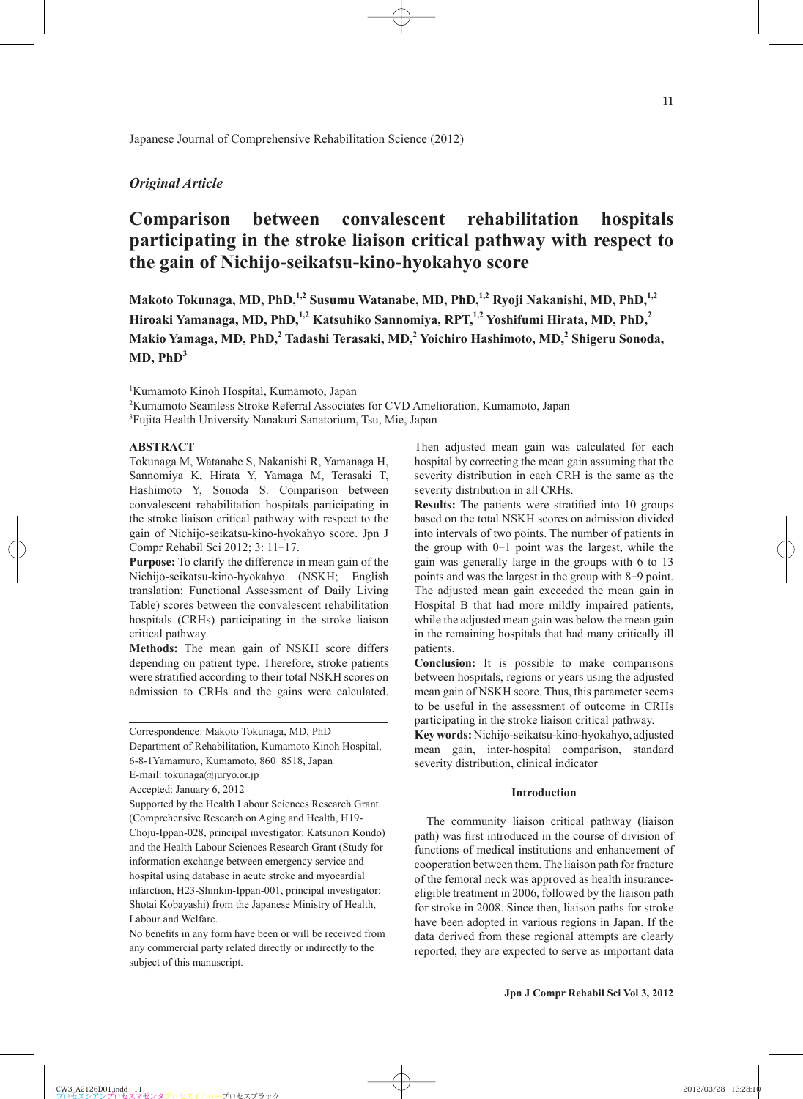## *Original Article*

# **Comparison between convalescent rehabilitation hospitals participating in the stroke liaison critical pathway with respect to the gain of Nichijo-seikatsu-kino-hyokahyo score**

Makoto Tokunaga, MD, PhD,<sup>1,2</sup> Susumu Watanabe, MD, PhD,<sup>1,2</sup> Ryoji Nakanishi, MD, PhD,<sup>1,2</sup> Hiroaki Yamanaga, MD, PhD,<sup>1,2</sup> Katsuhiko Sannomiya, RPT,<sup>1,2</sup> Yoshifumi Hirata, MD, PhD,<sup>2</sup> **Makio Yamaga, MD, PhD,<sup>2</sup> Tadashi Terasaki, MD,<sup>2</sup> Yoichiro Hashimoto, MD,2 Shigeru Sonoda,**   $MD. PhD<sup>3</sup>$ 

1 Kumamoto Kinoh Hospital, Kumamoto, Japan

2 Kumamoto Seamless Stroke Referral Associates for CVD Amelioration, Kumamoto, Japan

<sup>3</sup>Fujita Health University Nanakuri Sanatorium, Tsu, Mie, Japan

## **ABSTRACT**

Tokunaga M, Watanabe S, Nakanishi R, Yamanaga H, Sannomiya K, Hirata Y, Yamaga M, Terasaki T, Hashimoto Y, Sonoda S. Comparison between convalescent rehabilitation hospitals participating in the stroke liaison critical pathway with respect to the gain of Nichijo-seikatsu-kino-hyokahyo score. Jpn J Compr Rehabil Sci 2012; 3: 11-17.

**Purpose:** To clarify the difference in mean gain of the Nichijo-seikatsu-kino-hyokahyo (NSKH; English translation: Functional Assessment of Daily Living Table) scores between the convalescent rehabilitation hospitals (CRHs) participating in the stroke liaison critical pathway.

**Methods:** The mean gain of NSKH score differs depending on patient type. Therefore, stroke patients were stratified according to their total NSKH scores on admission to CRHs and the gains were calculated.

Department of Rehabilitation, Kumamoto Kinoh Hospital, 6-8-1Yamamuro, Kumamoto, 860-8518, Japan

Supported by the Health Labour Sciences Research Grant (Comprehensive Research on Aging and Health, H19- Choju-Ippan-028, principal investigator: Katsunori Kondo) and the Health Labour Sciences Research Grant (Study for information exchange between emergency service and hospital using database in acute stroke and myocardial infarction, H23-Shinkin-Ippan-001, principal investigator: Shotai Kobayashi) from the Japanese Ministry of Health, Labour and Welfare.

No benefits in any form have been or will be received from any commercial party related directly or indirectly to the subject of this manuscript.

Then adjusted mean gain was calculated for each hospital by correcting the mean gain assuming that the severity distribution in each CRH is the same as the severity distribution in all CRHs.

**Results:** The patients were stratified into 10 groups based on the total NSKH scores on admission divided into intervals of two points. The number of patients in the group with 0-1 point was the largest, while the gain was generally large in the groups with 6 to 13 points and was the largest in the group with 8-9 point. The adjusted mean gain exceeded the mean gain in Hospital B that had more mildly impaired patients, while the adjusted mean gain was below the mean gain in the remaining hospitals that had many critically ill patients.

**Conclusion:** It is possible to make comparisons between hospitals, regions or years using the adjusted mean gain of NSKH score. Thus, this parameter seems to be useful in the assessment of outcome in CRHs participating in the stroke liaison critical pathway.

**Key words:** Nichijo-seikatsu-kino-hyokahyo, adjusted mean gain, inter-hospital comparison, standard severity distribution, clinical indicator

### **Introduction**

The community liaison critical pathway (liaison path) was first introduced in the course of division of functions of medical institutions and enhancement of cooperation between them. The liaison path for fracture of the femoral neck was approved as health insuranceeligible treatment in 2006, followed by the liaison path for stroke in 2008. Since then, liaison paths for stroke have been adopted in various regions in Japan. If the data derived from these regional attempts are clearly reported, they are expected to serve as important data

Correspondence: Makoto Tokunaga, MD, PhD

E-mail: tokunaga@juryo.or.jp

Accepted: January 6, 2012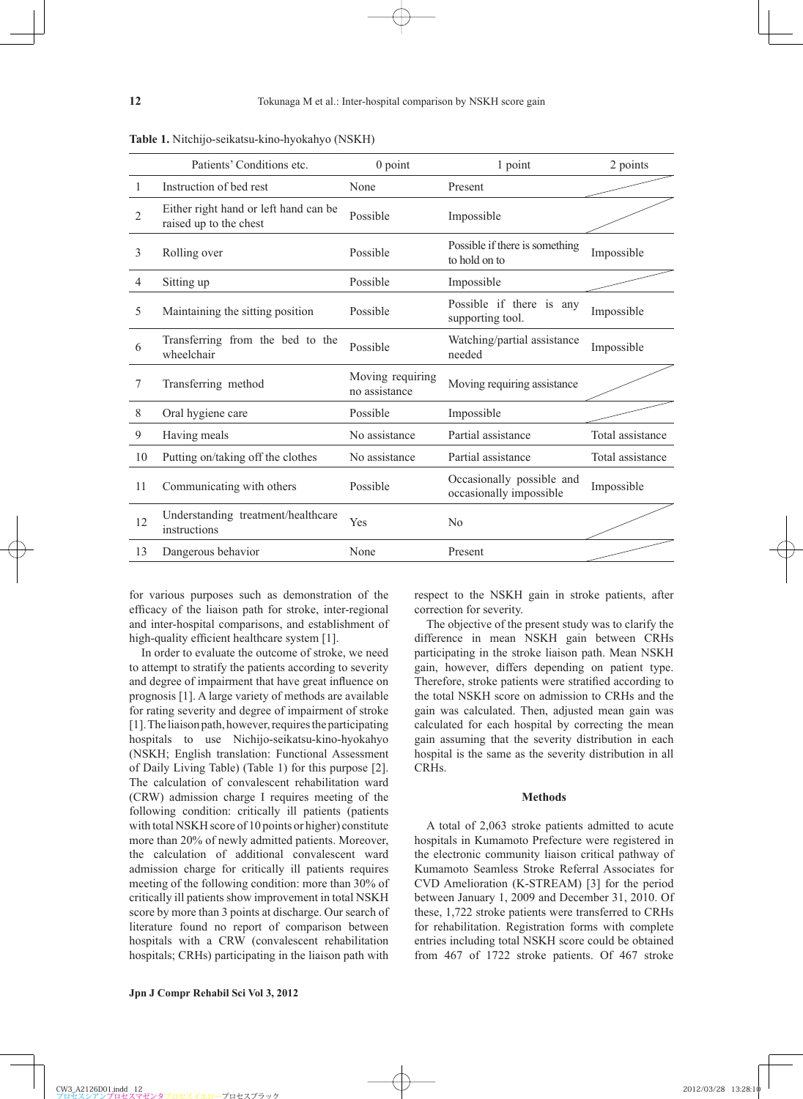|                | Patients' Conditions etc.                                       | $0$ point                         | 1 point                                              | 2 points         |  |
|----------------|-----------------------------------------------------------------|-----------------------------------|------------------------------------------------------|------------------|--|
| 1              | Instruction of bed rest                                         | None                              | Present                                              |                  |  |
| $\overline{2}$ | Either right hand or left hand can be<br>raised up to the chest | Possible                          | Impossible                                           |                  |  |
| 3              | Rolling over                                                    | Possible                          | Possible if there is something<br>to hold on to      | Impossible       |  |
| 4              | Sitting up                                                      | Possible                          | Impossible                                           |                  |  |
| 5              | Maintaining the sitting position                                | Possible                          | Possible if there is any<br>supporting tool.         | Impossible       |  |
| 6              | Transferring from the bed to the<br>wheelchair                  | Possible                          | Watching/partial assistance<br>needed                | Impossible       |  |
| 7              | Transferring method                                             | Moving requiring<br>no assistance | Moving requiring assistance                          |                  |  |
| 8              | Oral hygiene care                                               | Possible                          | Impossible                                           |                  |  |
| 9              | Having meals                                                    | No assistance                     | Partial assistance                                   | Total assistance |  |
| 10             | Putting on/taking off the clothes                               | No assistance                     | Partial assistance                                   | Total assistance |  |
| 11             | Communicating with others                                       | Possible                          | Occasionally possible and<br>occasionally impossible | Impossible       |  |
| 12             | Understanding treatment/healthcare<br>instructions              | Yes                               | N <sub>0</sub>                                       |                  |  |
| 13             | Dangerous behavior                                              | None                              | Present                                              |                  |  |

**Table 1.** Nitchijo-seikatsu-kino-hyokahyo (NSKH)

for various purposes such as demonstration of the efficacy of the liaison path for stroke, inter-regional and inter-hospital comparisons, and establishment of high-quality efficient healthcare system [1].

In order to evaluate the outcome of stroke, we need to attempt to stratify the patients according to severity and degree of impairment that have great influence on prognosis [1]. A large variety of methods are available for rating severity and degree of impairment of stroke [1]. The liaison path, however, requires the participating hospitals to use Nichijo-seikatsu-kino-hyokahyo (NSKH; English translation: Functional Assessment of Daily Living Table) (Table 1) for this purpose [2]. The calculation of convalescent rehabilitation ward (CRW) admission charge I requires meeting of the following condition: critically ill patients (patients with total NSKH score of 10 points or higher) constitute more than 20% of newly admitted patients. Moreover, the calculation of additional convalescent ward admission charge for critically ill patients requires meeting of the following condition: more than 30% of critically ill patients show improvement in total NSKH score by more than 3 points at discharge. Our search of literature found no report of comparison between hospitals with a CRW (convalescent rehabilitation hospitals; CRHs) participating in the liaison path with respect to the NSKH gain in stroke patients, after correction for severity.

The objective of the present study was to clarify the difference in mean NSKH gain between CRHs participating in the stroke liaison path. Mean NSKH gain, however, differs depending on patient type. Therefore, stroke patients were stratified according to the total NSKH score on admission to CRHs and the gain was calculated. Then, adjusted mean gain was calculated for each hospital by correcting the mean gain assuming that the severity distribution in each hospital is the same as the severity distribution in all CRHs.

#### **Methods**

A total of 2,063 stroke patients admitted to acute hospitals in Kumamoto Prefecture were registered in the electronic community liaison critical pathway of Kumamoto Seamless Stroke Referral Associates for CVD Amelioration (K-STREAM) [3] for the period between January 1, 2009 and December 31, 2010. Of these, 1,722 stroke patients were transferred to CRHs for rehabilitation. Registration forms with complete entries including total NSKH score could be obtained from 467 of 1722 stroke patients. Of 467 stroke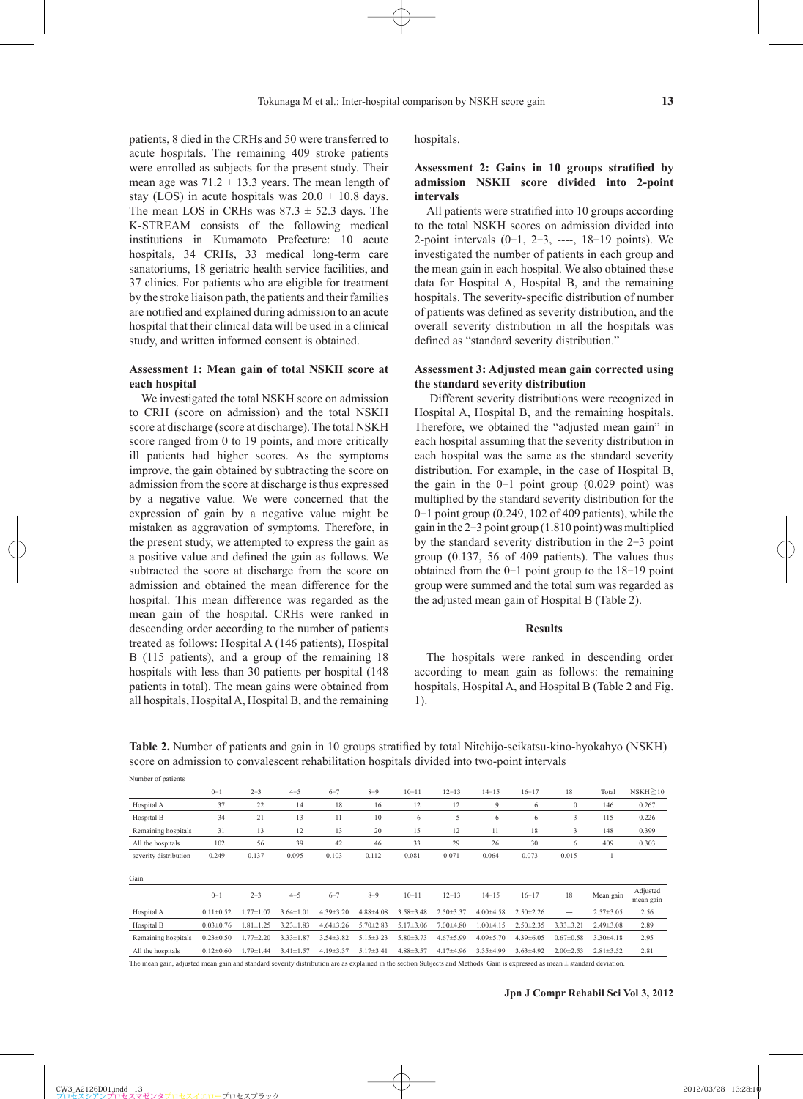patients, 8 died in the CRHs and 50 were transferred to acute hospitals. The remaining 409 stroke patients were enrolled as subjects for the present study. Their mean age was  $71.2 \pm 13.3$  years. The mean length of stay (LOS) in acute hospitals was  $20.0 \pm 10.8$  days. The mean LOS in CRHs was  $87.3 \pm 52.3$  days. The K-STREAM consists of the following medical institutions in Kumamoto Prefecture: 10 acute hospitals, 34 CRHs, 33 medical long-term care sanatoriums, 18 geriatric health service facilities, and 37 clinics. For patients who are eligible for treatment by the stroke liaison path, the patients and their families are notified and explained during admission to an acute hospital that their clinical data will be used in a clinical study, and written informed consent is obtained.

## **Assessment 1: Mean gain of total NSKH score at each hospital**

We investigated the total NSKH score on admission to CRH (score on admission) and the total NSKH score at discharge (score at discharge). The total NSKH score ranged from 0 to 19 points, and more critically ill patients had higher scores. As the symptoms improve, the gain obtained by subtracting the score on admission from the score at discharge is thus expressed by a negative value. We were concerned that the expression of gain by a negative value might be mistaken as aggravation of symptoms. Therefore, in the present study, we attempted to express the gain as a positive value and defined the gain as follows. We subtracted the score at discharge from the score on admission and obtained the mean difference for the hospital. This mean difference was regarded as the mean gain of the hospital. CRHs were ranked in descending order according to the number of patients treated as follows: Hospital A (146 patients), Hospital B (115 patients), and a group of the remaining 18 hospitals with less than 30 patients per hospital (148 patients in total). The mean gains were obtained from all hospitals, Hospital A, Hospital B, and the remaining

Number of patients

hospitals.

## Assessment 2: Gains in 10 groups stratified by **admission NSKH score divided into 2-point intervals**

All patients were stratified into 10 groups according to the total NSKH scores on admission divided into 2-point intervals  $(0-1, 2-3, ---, 18-19)$  points). We investigated the number of patients in each group and the mean gain in each hospital. We also obtained these data for Hospital A, Hospital B, and the remaining hospitals. The severity-specific distribution of number of patients was defined as severity distribution, and the overall severity distribution in all the hospitals was defined as "standard severity distribution."

## **Assessment 3: Adjusted mean gain corrected using the standard severity distribution**

 Different severity distributions were recognized in Hospital A, Hospital B, and the remaining hospitals. Therefore, we obtained the "adjusted mean gain" in each hospital assuming that the severity distribution in each hospital was the same as the standard severity distribution. For example, in the case of Hospital B, the gain in the  $0-1$  point group  $(0.029 \text{ point})$  was multiplied by the standard severity distribution for the 0-1 point group (0.249, 102 of 409 patients), while the gain in the 2-3 point group (1.810 point) was multiplied by the standard severity distribution in the 2-3 point group (0.137, 56 of 409 patients). The values thus obtained from the 0-1 point group to the 18-19 point group were summed and the total sum was regarded as the adjusted mean gain of Hospital B (Table 2).

### **Results**

The hospitals were ranked in descending order according to mean gain as follows: the remaining hospitals, Hospital A, and Hospital B (Table 2 and Fig. 1).

|                       | $0 - 1$         | $2 - 3$         | $4 - 5$                        | $6 - 7$         | $8 - 9$         | $10 - 11$       | $12 - 13$                                                                                                                                                                                                                         | $14 - 15$       | $16 - 17$       | 18              | Total           | $NSKH \geq 10$ |
|-----------------------|-----------------|-----------------|--------------------------------|-----------------|-----------------|-----------------|-----------------------------------------------------------------------------------------------------------------------------------------------------------------------------------------------------------------------------------|-----------------|-----------------|-----------------|-----------------|----------------|
| Hospital A            | 37              | 22              | 14                             | 18              | 16              | 12              | 12                                                                                                                                                                                                                                | 9               | 6               | $\mathbf{0}$    | 146             | 0.267          |
| Hospital B            | 34              | 21              | 13                             | 11              | 10              | 6               | 5                                                                                                                                                                                                                                 | 6               | 6               | 3               | 115             | 0.226          |
| Remaining hospitals   | 31              | 13              | 12                             | 13              | 20              | 15              | 12                                                                                                                                                                                                                                | 11              | 18              | 3               | 148             | 0.399          |
| All the hospitals     | 102             | 56              | 39                             | 42              | 46              | 33              | 29                                                                                                                                                                                                                                | 26              | 30              | 6               | 409             | 0.303          |
| severity distribution | 0.249           | 0.137           | 0.095                          | 0.103           | 0.112           | 0.081           | 0.071                                                                                                                                                                                                                             | 0.064           | 0.073           | 0.015           |                 |                |
| Gain                  |                 |                 |                                |                 |                 |                 |                                                                                                                                                                                                                                   |                 |                 |                 |                 | Adjusted       |
|                       | $0 - 1$         | $2 - 3$         | $4 - 5$                        | $6 - 7$         | $8 - 9$         | $10 - 11$       | $12 - 13$                                                                                                                                                                                                                         | $14 - 15$       | $16 - 17$       | 18              | Mean gain       | mean gain      |
| Hospital A            | $0.11 \pm 0.52$ | $1.77 \pm 1.07$ | $3.64 \pm 1.01$                | $4.39 \pm 3.20$ | $4.88{\pm}4.08$ | $3.58 \pm 3.48$ | $2.50 \pm 3.37$                                                                                                                                                                                                                   | $4.00 \pm 4.58$ | $2.50 \pm 2.26$ |                 | $2.57 \pm 3.05$ | 2.56           |
| Hospital B            | $0.03 \pm 0.76$ | $1.81 \pm 1.25$ | $3.23 \pm 1.83$                | $4.64 \pm 3.26$ | $5.70 \pm 2.83$ | $5.17 \pm 3.06$ | $7.00 \pm 4.80$                                                                                                                                                                                                                   | $1.00 + 4.15$   | $2.50 \pm 2.35$ | $3.33 \pm 3.21$ | $2.49 \pm 3.08$ | 2.89           |
| Remaining hospitals   | $0.23 \pm 0.50$ | $1.77 \pm 2.20$ | $3.33 \pm 1.87$                | $3.54 \pm 3.82$ | $5.15 \pm 3.23$ | $5.80 \pm 3.73$ | $4.67 \pm 5.99$                                                                                                                                                                                                                   | $4.09 \pm 5.70$ | $4.39 \pm 6.05$ | $0.67 \pm 0.58$ | $3.30\pm4.18$   | 2.95           |
| All the hospitals     | $0.12\pm0.60$   | 1.79±1.44       | $3.41 \pm 1.57$                | $4.19 \pm 3.37$ | $5.17 \pm 3.41$ | $4.88 \pm 3.57$ | $4.17+4.96$                                                                                                                                                                                                                       | $3.35 \pm 4.99$ | $3.63 \pm 4.92$ | $2.00 \pm 2.53$ | $2.81 \pm 3.52$ | 2.81           |
| .                     |                 | .               | the transportation of the con- |                 |                 |                 | $\mathbf{a}$ . The second contract of the second contract of the second contract of the second contract of the second contract of the second contract of the second contract of the second contract of the second contract of the |                 | $\sim$          |                 | .               |                |

**Table 2.** Number of patients and gain in 10 groups stratified by total Nitchijo-seikatsu-kino-hyokahyo (NSKH) score on admission to convalescent rehabilitation hospitals divided into two-point intervals

The mean gain, adjusted mean gain and standard severity distribution are as explained in the section Subjects and Methods. Gain is expressed as mean ± standard deviation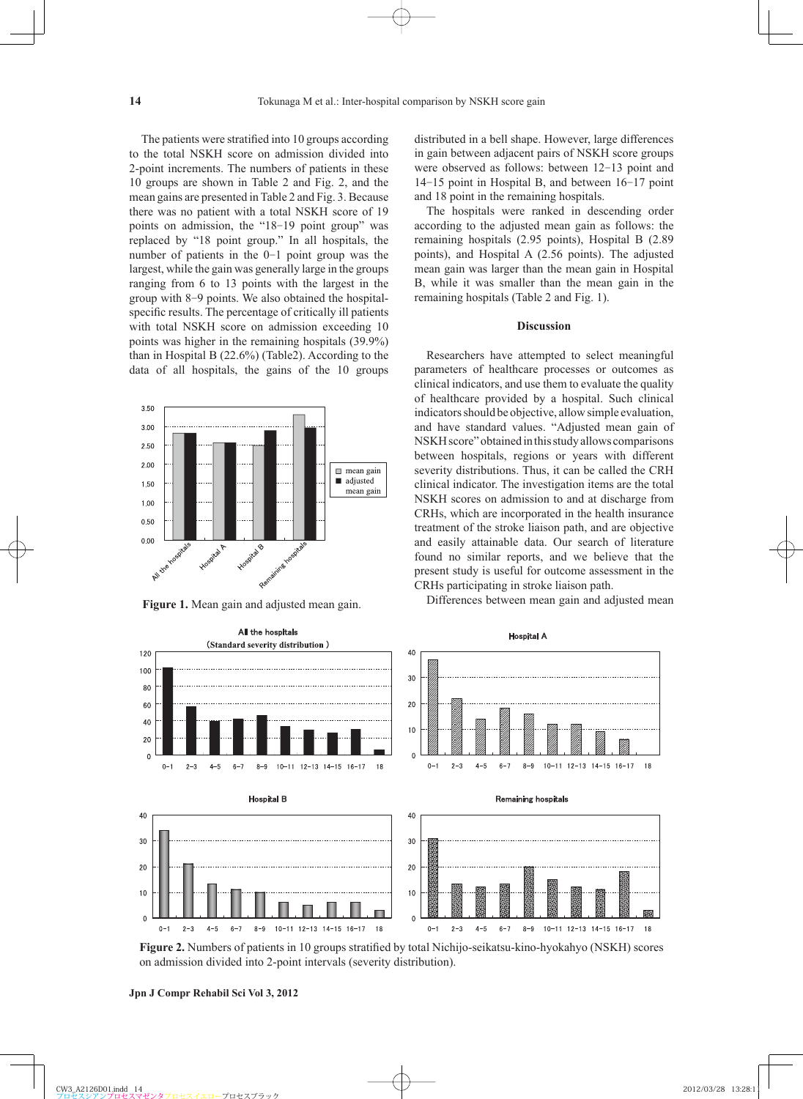The patients were stratified into 10 groups according to the total NSKH score on admission divided into 2-point increments. The numbers of patients in these 10 groups are shown in Table 2 and Fig. 2, and the mean gains are presented in Table 2 and Fig. 3. Because there was no patient with a total NSKH score of 19 points on admission, the "18-19 point group" was replaced by "18 point group." In all hospitals, the number of patients in the 0-1 point group was the largest, while the gain was generally large in the groups ranging from 6 to 13 points with the largest in the group with 8-9 points. We also obtained the hospitalspecific results. The percentage of critically ill patients with total NSKH score on admission exceeding 10 points was higher in the remaining hospitals (39.9%) than in Hospital B (22.6%) (Table2). According to the data of all hospitals, the gains of the 10 groups



distributed in a bell shape. However, large differences in gain between adjacent pairs of NSKH score groups were observed as follows: between 12-13 point and 14-15 point in Hospital B, and between 16-17 point and 18 point in the remaining hospitals.

The hospitals were ranked in descending order according to the adjusted mean gain as follows: the remaining hospitals (2.95 points), Hospital B (2.89 points), and Hospital A (2.56 points). The adjusted mean gain was larger than the mean gain in Hospital B, while it was smaller than the mean gain in the remaining hospitals (Table 2 and Fig. 1).

#### **Discussion**

Researchers have attempted to select meaningful parameters of healthcare processes or outcomes as clinical indicators, and use them to evaluate the quality of healthcare provided by a hospital. Such clinical indicators should be objective, allow simple evaluation, and have standard values. "Adjusted mean gain of NSKH score" obtained in this study allows comparisons between hospitals, regions or years with different severity distributions. Thus, it can be called the CRH clinical indicator. The investigation items are the total NSKH scores on admission to and at discharge from CRHs, which are incorporated in the health insurance treatment of the stroke liaison path, and are objective and easily attainable data. Our search of literature found no similar reports, and we believe that the present study is useful for outcome assessment in the CRHs participating in stroke liaison path. Differences between mean gain and adjusted mean gain.<br>
Figure 1. Mean gain and adjusted mean gain.<br>
Figure 1. Mean gain and adjusted mean gain.<br>
Differences between mean gain and adjusted mean



**Figure 2.** Numbers of patients in 10 groups stratified by total Nichijo-seikatsu-kino-hyokahyo (NSKH) scores on admission divided into 2-point intervals (severity distribution).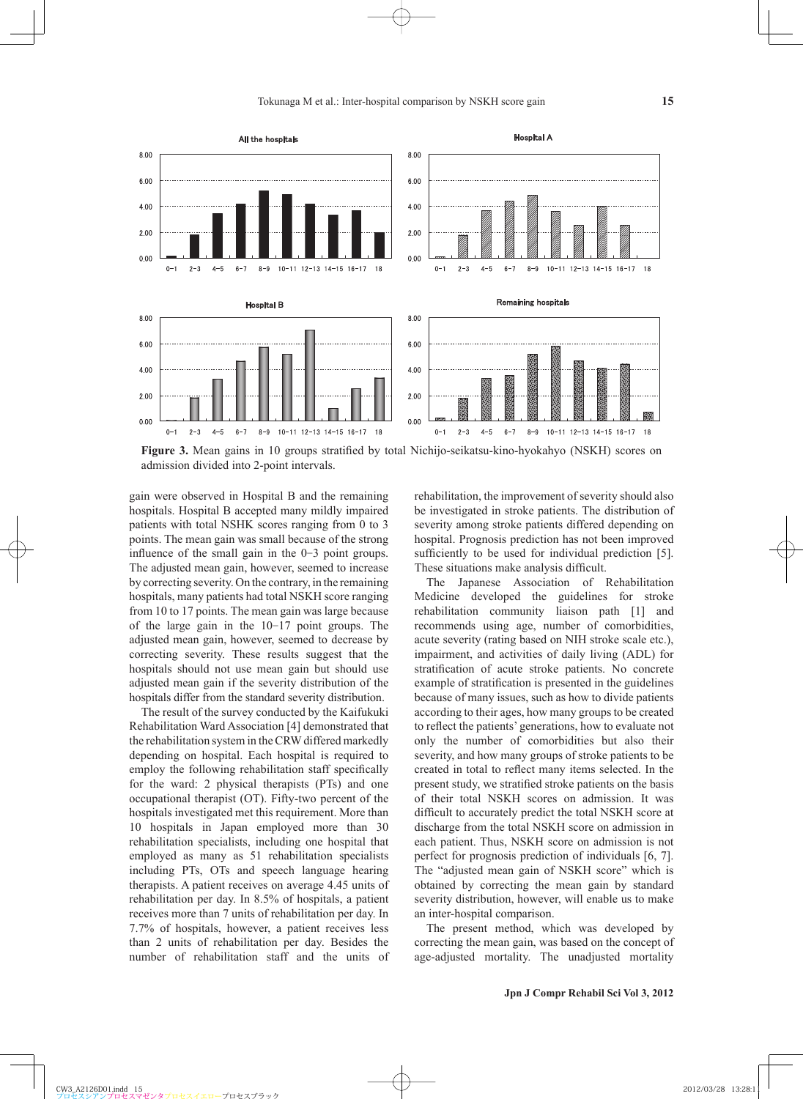

**Figure 3.** Mean gains in 10 groups stratified by total Nichijo-seikatsu-kino-hyokahyo (NSKH) scores on admission divided into 2-point intervals.

gain were observed in Hospital B and the remaining hospitals. Hospital B accepted many mildly impaired patients with total NSHK scores ranging from 0 to 3 points. The mean gain was small because of the strong influence of the small gain in the  $0-3$  point groups. The adjusted mean gain, however, seemed to increase by correcting severity. On the contrary, in the remaining hospitals, many patients had total NSKH score ranging from 10 to 17 points. The mean gain was large because of the large gain in the 10-17 point groups. The adjusted mean gain, however, seemed to decrease by correcting severity. These results suggest that the hospitals should not use mean gain but should use adjusted mean gain if the severity distribution of the hospitals differ from the standard severity distribution.

The result of the survey conducted by the Kaifukuki Rehabilitation Ward Association [4] demonstrated that the rehabilitation system in the CRW differed markedly depending on hospital. Each hospital is required to employ the following rehabilitation staff specifically for the ward: 2 physical therapists (PTs) and one occupational therapist (OT). Fifty-two percent of the hospitals investigated met this requirement. More than 10 hospitals in Japan employed more than 30 rehabilitation specialists, including one hospital that employed as many as 51 rehabilitation specialists including PTs, OTs and speech language hearing therapists. A patient receives on average 4.45 units of rehabilitation per day. In 8.5% of hospitals, a patient receives more than 7 units of rehabilitation per day. In 7.7% of hospitals, however, a patient receives less than 2 units of rehabilitation per day. Besides the number of rehabilitation staff and the units of rehabilitation, the improvement of severity should also be investigated in stroke patients. The distribution of severity among stroke patients differed depending on hospital. Prognosis prediction has not been improved sufficiently to be used for individual prediction [5]. These situations make analysis difficult.

The Japanese Association of Rehabilitation Medicine developed the guidelines for stroke rehabilitation community liaison path [1] and recommends using age, number of comorbidities, acute severity (rating based on NIH stroke scale etc.), impairment, and activities of daily living (ADL) for stratification of acute stroke patients. No concrete example of stratification is presented in the guidelines because of many issues, such as how to divide patients according to their ages, how many groups to be created to reflect the patients' generations, how to evaluate not only the number of comorbidities but also their severity, and how many groups of stroke patients to be created in total to reflect many items selected. In the present study, we stratified stroke patients on the basis of their total NSKH scores on admission. It was difficult to accurately predict the total NSKH score at discharge from the total NSKH score on admission in each patient. Thus, NSKH score on admission is not perfect for prognosis prediction of individuals [6, 7]. The "adjusted mean gain of NSKH score" which is obtained by correcting the mean gain by standard severity distribution, however, will enable us to make an inter-hospital comparison.

The present method, which was developed by correcting the mean gain, was based on the concept of age-adjusted mortality. The unadjusted mortality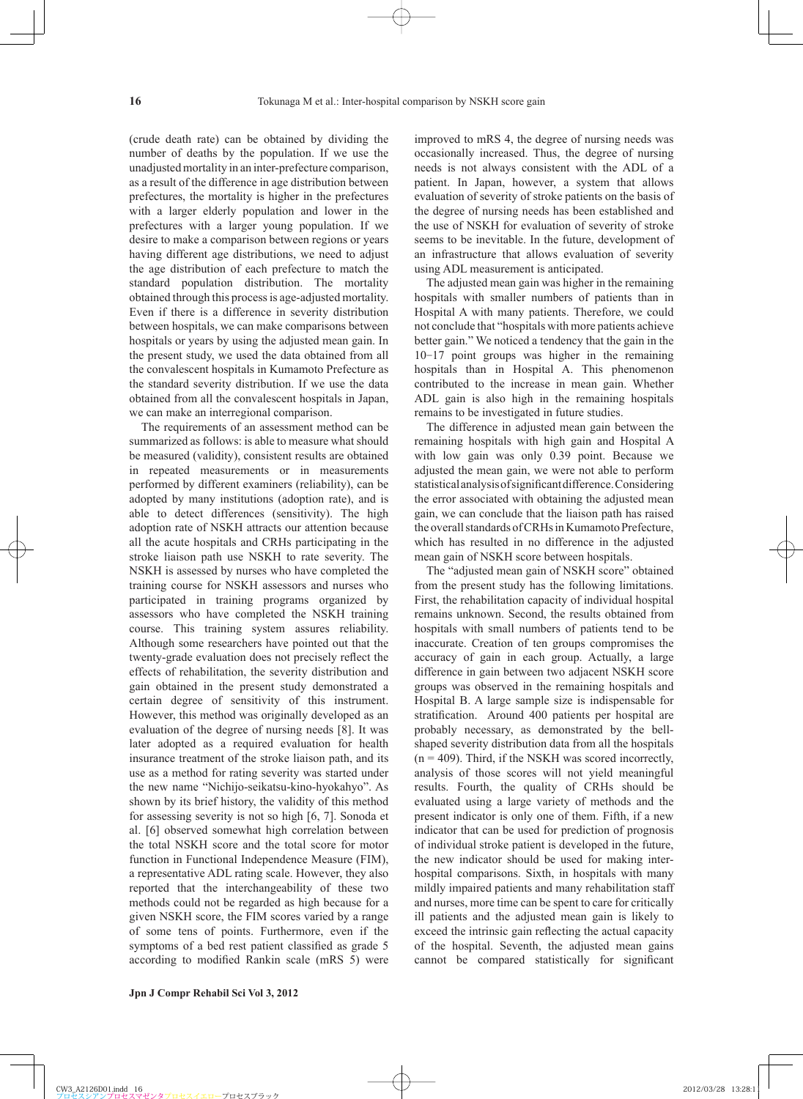(crude death rate) can be obtained by dividing the number of deaths by the population. If we use the unadjusted mortality in an inter-prefecture comparison, as a result of the difference in age distribution between prefectures, the mortality is higher in the prefectures with a larger elderly population and lower in the prefectures with a larger young population. If we desire to make a comparison between regions or years having different age distributions, we need to adjust the age distribution of each prefecture to match the standard population distribution. The mortality obtained through this process is age-adjusted mortality. Even if there is a difference in severity distribution between hospitals, we can make comparisons between hospitals or years by using the adjusted mean gain. In the present study, we used the data obtained from all the convalescent hospitals in Kumamoto Prefecture as the standard severity distribution. If we use the data obtained from all the convalescent hospitals in Japan, we can make an interregional comparison.

The requirements of an assessment method can be summarized as follows: is able to measure what should be measured (validity), consistent results are obtained in repeated measurements or in measurements performed by different examiners (reliability), can be adopted by many institutions (adoption rate), and is able to detect differences (sensitivity). The high adoption rate of NSKH attracts our attention because all the acute hospitals and CRHs participating in the stroke liaison path use NSKH to rate severity. The NSKH is assessed by nurses who have completed the training course for NSKH assessors and nurses who participated in training programs organized by assessors who have completed the NSKH training course. This training system assures reliability. Although some researchers have pointed out that the twenty-grade evaluation does not precisely reflect the effects of rehabilitation, the severity distribution and gain obtained in the present study demonstrated a certain degree of sensitivity of this instrument. However, this method was originally developed as an evaluation of the degree of nursing needs [8]. It was later adopted as a required evaluation for health insurance treatment of the stroke liaison path, and its use as a method for rating severity was started under the new name "Nichijo-seikatsu-kino-hyokahyo". As shown by its brief history, the validity of this method for assessing severity is not so high [6, 7]. Sonoda et al. [6] observed somewhat high correlation between the total NSKH score and the total score for motor function in Functional Independence Measure (FIM), a representative ADL rating scale. However, they also reported that the interchangeability of these two methods could not be regarded as high because for a given NSKH score, the FIM scores varied by a range of some tens of points. Furthermore, even if the symptoms of a bed rest patient classified as grade 5 according to modified Rankin scale (mRS 5) were improved to mRS 4, the degree of nursing needs was occasionally increased. Thus, the degree of nursing needs is not always consistent with the ADL of a patient. In Japan, however, a system that allows evaluation of severity of stroke patients on the basis of the degree of nursing needs has been established and the use of NSKH for evaluation of severity of stroke seems to be inevitable. In the future, development of an infrastructure that allows evaluation of severity using ADL measurement is anticipated.

The adjusted mean gain was higher in the remaining hospitals with smaller numbers of patients than in Hospital A with many patients. Therefore, we could not conclude that "hospitals with more patients achieve better gain." We noticed a tendency that the gain in the 10-17 point groups was higher in the remaining hospitals than in Hospital A. This phenomenon contributed to the increase in mean gain. Whether ADL gain is also high in the remaining hospitals remains to be investigated in future studies.

The difference in adjusted mean gain between the remaining hospitals with high gain and Hospital A with low gain was only 0.39 point. Because we adjusted the mean gain, we were not able to perform statistical analysis of significant difference. Considering the error associated with obtaining the adjusted mean gain, we can conclude that the liaison path has raised the overall standards of CRHs in Kumamoto Prefecture, which has resulted in no difference in the adjusted mean gain of NSKH score between hospitals.

The "adjusted mean gain of NSKH score" obtained from the present study has the following limitations. First, the rehabilitation capacity of individual hospital remains unknown. Second, the results obtained from hospitals with small numbers of patients tend to be inaccurate. Creation of ten groups compromises the accuracy of gain in each group. Actually, a large difference in gain between two adjacent NSKH score groups was observed in the remaining hospitals and Hospital B. A large sample size is indispensable for stratification. Around 400 patients per hospital are probably necessary, as demonstrated by the bellshaped severity distribution data from all the hospitals  $(n = 409)$ . Third, if the NSKH was scored incorrectly, analysis of those scores will not yield meaningful results. Fourth, the quality of CRHs should be evaluated using a large variety of methods and the present indicator is only one of them. Fifth, if a new indicator that can be used for prediction of prognosis of individual stroke patient is developed in the future, the new indicator should be used for making interhospital comparisons. Sixth, in hospitals with many mildly impaired patients and many rehabilitation staff and nurses, more time can be spent to care for critically ill patients and the adjusted mean gain is likely to exceed the intrinsic gain reflecting the actual capacity of the hospital. Seventh, the adjusted mean gains cannot be compared statistically for significant